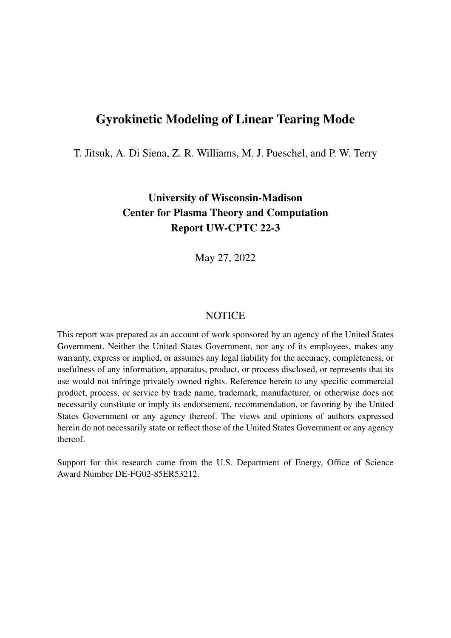# Gyrokinetic Modeling of Linear Tearing Mode

T. Jitsuk, A. Di Siena, Z. R. Williams, M. J. Pueschel, and P. W. Terry

University of Wisconsin-Madison Center for Plasma Theory and Computation Report UW-CPTC 22-3

May 27, 2022

## **NOTICE**

This report was prepared as an account of work sponsored by an agency of the United States Government. Neither the United States Government, nor any of its employees, makes any warranty, express or implied, or assumes any legal liability for the accuracy, completeness, or usefulness of any information, apparatus, product, or process disclosed, or represents that its use would not infringe privately owned rights. Reference herein to any specific commercial product, process, or service by trade name, trademark, manufacturer, or otherwise does not necessarily constitute or imply its endorsement, recommendation, or favoring by the United States Government or any agency thereof. The views and opinions of authors expressed herein do not necessarily state or reflect those of the United States Government or any agency thereof.

Support for this research came from the U.S. Department of Energy, Office of Science Award Number DE-FG02-85ER53212.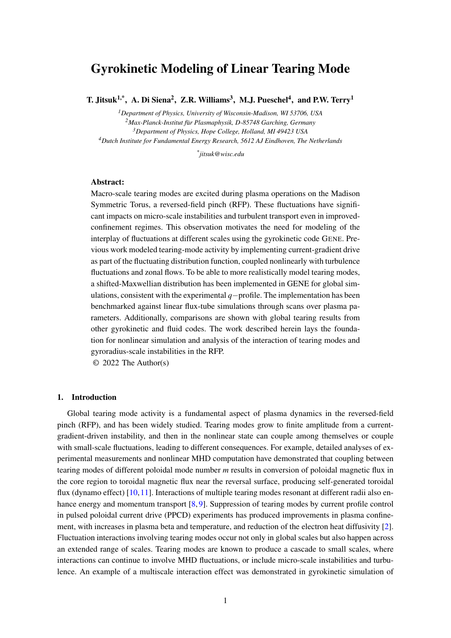## Gyrokinetic Modeling of Linear Tearing Mode

T. Jitsuk<sup>1,\*</sup>, A. Di Siena<sup>2</sup>, Z.R. Williams<sup>3</sup>, M.J. Pueschel<sup>4</sup>, and P.W. Terry<sup>1</sup>

*Department of Physics, University of Wisconsin-Madison, WI 53706, USA Max-Planck-Institut f*u¨*r Plasmaphysik, D-85748 Garching, Germany Department of Physics, Hope College, Holland, MI 49423 USA Dutch Institute for Fundamental Energy Research, 5612 AJ Eindhoven, The Netherlands*

*\* jitsuk@wisc.edu*

## Abstract:

Macro-scale tearing modes are excited during plasma operations on the Madison Symmetric Torus, a reversed-field pinch (RFP). These fluctuations have significant impacts on micro-scale instabilities and turbulent transport even in improvedconfinement regimes. This observation motivates the need for modeling of the interplay of fluctuations at different scales using the gyrokinetic code GENE. Previous work modeled tearing-mode activity by implementing current-gradient drive as part of the fluctuating distribution function, coupled nonlinearly with turbulence fluctuations and zonal flows. To be able to more realistically model tearing modes, a shifted-Maxwellian distribution has been implemented in GENE for global simulations, consistent with the experimental *q*−profile. The implementation has been benchmarked against linear flux-tube simulations through scans over plasma parameters. Additionally, comparisons are shown with global tearing results from other gyrokinetic and fluid codes. The work described herein lays the foundation for nonlinear simulation and analysis of the interaction of tearing modes and gyroradius-scale instabilities in the RFP.

© 2022 The Author(s)

## 1. Introduction

Global tearing mode activity is a fundamental aspect of plasma dynamics in the reversed-field pinch (RFP), and has been widely studied. Tearing modes grow to finite amplitude from a currentgradient-driven instability, and then in the nonlinear state can couple among themselves or couple with small-scale fluctuations, leading to different consequences. For example, detailed analyses of experimental measurements and nonlinear MHD computation have demonstrated that coupling between tearing modes of different poloidal mode number *m* results in conversion of poloidal magnetic flux in the core region to toroidal magnetic flux near the reversal surface, producing self-generated toroidal flux (dynamo effect) [\[10,](#page-16-0)[11\]](#page-16-1). Interactions of multiple tearing modes resonant at different radii also enhance energy and momentum transport [\[8,](#page-16-2) [9\]](#page-16-3). Suppression of tearing modes by current profile control in pulsed poloidal current drive (PPCD) experiments has produced improvements in plasma confinement, with increases in plasma beta and temperature, and reduction of the electron heat diffusivity [\[2\]](#page-16-4). Fluctuation interactions involving tearing modes occur not only in global scales but also happen across an extended range of scales. Tearing modes are known to produce a cascade to small scales, where interactions can continue to involve MHD fluctuations, or include micro-scale instabilities and turbulence. An example of a multiscale interaction effect was demonstrated in gyrokinetic simulation of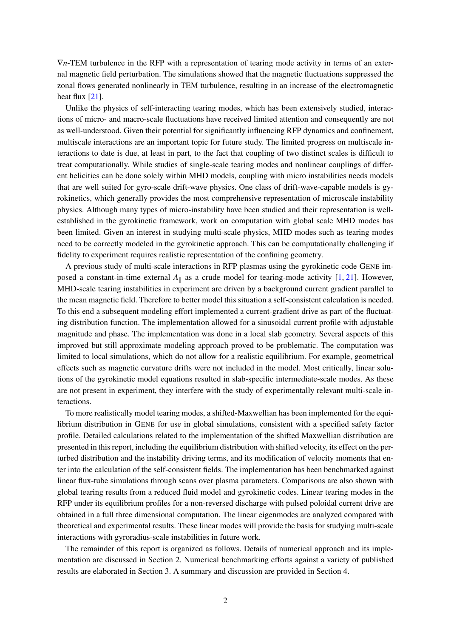∇*n*-TEM turbulence in the RFP with a representation of tearing mode activity in terms of an external magnetic field perturbation. The simulations showed that the magnetic fluctuations suppressed the zonal flows generated nonlinearly in TEM turbulence, resulting in an increase of the electromagnetic heat flux [\[21\]](#page-16-5).

Unlike the physics of self-interacting tearing modes, which has been extensively studied, interactions of micro- and macro-scale fluctuations have received limited attention and consequently are not as well-understood. Given their potential for significantly influencing RFP dynamics and confinement, multiscale interactions are an important topic for future study. The limited progress on multiscale interactions to date is due, at least in part, to the fact that coupling of two distinct scales is difficult to treat computationally. While studies of single-scale tearing modes and nonlinear couplings of different helicities can be done solely within MHD models, coupling with micro instabilities needs models that are well suited for gyro-scale drift-wave physics. One class of drift-wave-capable models is gyrokinetics, which generally provides the most comprehensive representation of microscale instability physics. Although many types of micro-instability have been studied and their representation is wellestablished in the gyrokinetic framework, work on computation with global scale MHD modes has been limited. Given an interest in studying multi-scale physics, MHD modes such as tearing modes need to be correctly modeled in the gyrokinetic approach. This can be computationally challenging if fidelity to experiment requires realistic representation of the confining geometry.

A previous study of multi-scale interactions in RFP plasmas using the gyrokinetic code GENE imposed a constant-in-time external  $A_{\parallel}$  as a crude model for tearing-mode activity [\[1,](#page-16-6) [21\]](#page-16-5). However, MHD-scale tearing instabilities in experiment are driven by a background current gradient parallel to the mean magnetic field. Therefore to better model this situation a self-consistent calculation is needed. To this end a subsequent modeling effort implemented a current-gradient drive as part of the fluctuating distribution function. The implementation allowed for a sinusoidal current profile with adjustable magnitude and phase. The implementation was done in a local slab geometry. Several aspects of this improved but still approximate modeling approach proved to be problematic. The computation was limited to local simulations, which do not allow for a realistic equilibrium. For example, geometrical effects such as magnetic curvature drifts were not included in the model. Most critically, linear solutions of the gyrokinetic model equations resulted in slab-specific intermediate-scale modes. As these are not present in experiment, they interfere with the study of experimentally relevant multi-scale interactions.

To more realistically model tearing modes, a shifted-Maxwellian has been implemented for the equilibrium distribution in GENE for use in global simulations, consistent with a specified safety factor profile. Detailed calculations related to the implementation of the shifted Maxwellian distribution are presented in this report, including the equilibrium distribution with shifted velocity, its effect on the perturbed distribution and the instability driving terms, and its modification of velocity moments that enter into the calculation of the self-consistent fields. The implementation has been benchmarked against linear flux-tube simulations through scans over plasma parameters. Comparisons are also shown with global tearing results from a reduced fluid model and gyrokinetic codes. Linear tearing modes in the RFP under its equilibrium profiles for a non-reversed discharge with pulsed poloidal current drive are obtained in a full three dimensional computation. The linear eigenmodes are analyzed compared with theoretical and experimental results. These linear modes will provide the basis for studying multi-scale interactions with gyroradius-scale instabilities in future work.

The remainder of this report is organized as follows. Details of numerical approach and its implementation are discussed in Section 2. Numerical benchmarking efforts against a variety of published results are elaborated in Section 3. A summary and discussion are provided in Section 4.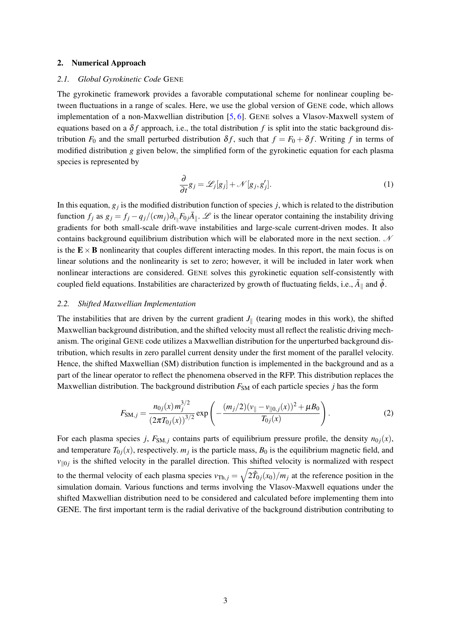## 2. Numerical Approach

## *2.1. Global Gyrokinetic Code* GENE

The gyrokinetic framework provides a favorable computational scheme for nonlinear coupling between fluctuations in a range of scales. Here, we use the global version of GENE code, which allows implementation of a non-Maxwellian distribution [\[5,](#page-16-7) [6\]](#page-16-8). GENE solves a Vlasov-Maxwell system of equations based on a  $\delta f$  approach, i.e., the total distribution  $f$  is split into the static background distribution  $F_0$  and the small perturbed distribution  $\delta f$ , such that  $f = F_0 + \delta f$ . Writing f in terms of modified distribution *g* given below, the simplified form of the gyrokinetic equation for each plasma species is represented by

$$
\frac{\partial}{\partial t}g_j = \mathcal{L}_j[g_j] + \mathcal{N}[g_j, g'_j].
$$
\n(1)

In this equation,  $g_j$  is the modified distribution function of species  $j$ , which is related to the distribution function  $f_j$  as  $g_j = f_j - q_j/(cm_j)\partial_{v_{\parallel}}F_{0j}\overline{A}_{\parallel}$ .  $\mathscr L$  is the linear operator containing the instability driving gradients for both small-scale drift-wave instabilities and large-scale current-driven modes. It also contains background equilibrium distribution which will be elaborated more in the next section.  $N$ is the  $E \times B$  nonlinearity that couples different interacting modes. In this report, the main focus is on linear solutions and the nonlinearity is set to zero; however, it will be included in later work when nonlinear interactions are considered. GENE solves this gyrokinetic equation self-consistently with coupled field equations. Instabilities are characterized by growth of fluctuating fields, i.e.,  $\tilde{A}_{\parallel}$  and  $\tilde{\phi}$ .

## *2.2. Shifted Maxwellian Implementation*

The instabilities that are driven by the current gradient  $J_{\parallel}$  (tearing modes in this work), the shifted Maxwellian background distribution, and the shifted velocity must all reflect the realistic driving mechanism. The original GENE code utilizes a Maxwellian distribution for the unperturbed background distribution, which results in zero parallel current density under the first moment of the parallel velocity. Hence, the shifted Maxwellian (SM) distribution function is implemented in the background and as a part of the linear operator to reflect the phenomena observed in the RFP. This distribution replaces the Maxwellian distribution. The background distribution  $F_{SM}$  of each particle species *j* has the form

$$
F_{\text{SM},j} = \frac{n_{0j}(x) m_j^{3/2}}{(2\pi T_{0j}(x))^{3/2}} \exp\left(-\frac{(m_j/2)(v_{\parallel} - v_{\parallel 0,j}(x))^2 + \mu B_0}{T_{0j}(x)}\right).
$$
 (2)

For each plasma species *j*,  $F_{SM,j}$  contains parts of equilibrium pressure profile, the density  $n_{0j}(x)$ , and temperature  $T_{0j}(x)$ , respectively.  $m_j$  is the particle mass,  $B_0$  is the equilibrium magnetic field, and  $v_{\parallel 0j}$  is the shifted velocity in the parallel direction. This shifted velocity is normalized with respect to the thermal velocity of each plasma species  $v_{\text{Th},j} = \sqrt{2\hat{T}_{0j}(x_0)/m_j}$  at the reference position in the simulation domain. Various functions and terms involving the Vlasov-Maxwell equations under the shifted Maxwellian distribution need to be considered and calculated before implementing them into GENE. The first important term is the radial derivative of the background distribution contributing to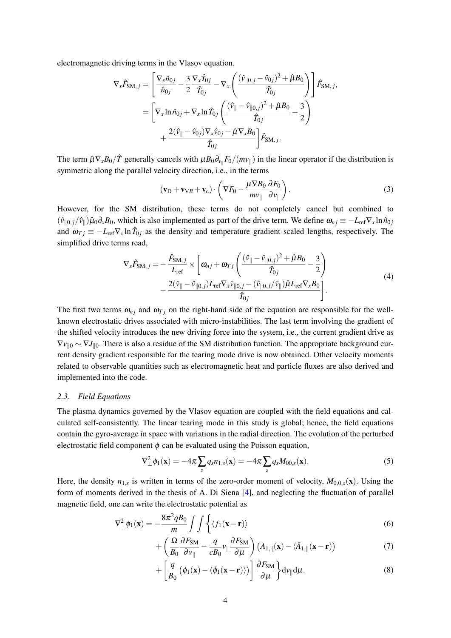electromagnetic driving terms in the Vlasov equation.

$$
\nabla_{x}\hat{F}_{\text{SM},j} = \left[\frac{\nabla_{x}\hat{n}_{0j}}{\hat{n}_{0j}} - \frac{3}{2}\frac{\nabla_{x}\hat{T}_{0j}}{\hat{T}_{0j}} - \nabla_{x}\left(\frac{(\hat{v}_{\parallel 0,j} - \hat{v}_{0j})^{2} + \hat{\mu}B_{0}}{\hat{T}_{0j}}\right)\right]\hat{F}_{\text{SM},j},
$$
\n
$$
= \left[\nabla_{x}\ln\hat{n}_{0j} + \nabla_{x}\ln\hat{T}_{0j}\left(\frac{(\hat{v}_{\parallel} - \hat{v}_{\parallel 0,j})^{2} + \hat{\mu}B_{0}}{\hat{T}_{0j}} - \frac{3}{2}\right)\n+ \frac{2(\hat{v}_{\parallel} - \hat{v}_{0j})\nabla_{x}\hat{v}_{0j} - \hat{\mu}\nabla_{x}B_{0}}{\hat{T}_{0j}}\right]\hat{F}_{\text{SM},j}.
$$

The term  $\hat{\mu} \nabla_x B_0/\hat{T}$  generally cancels with  $\mu B_0 \partial_{v_{\parallel}} F_0/(mv_{\parallel})$  in the linear operator if the distribution is symmetric along the parallel velocity direction, i.e., in the terms

$$
(\mathbf{v}_D + \mathbf{v}_{\nabla B} + \mathbf{v}_c) \cdot \left( \nabla F_0 - \frac{\mu \nabla B_0}{m v_{\parallel}} \frac{\partial F_0}{\partial v_{\parallel}} \right). \tag{3}
$$

However, for the SM distribution, these terms do not completely cancel but combined to  $(\hat{v}_{\parallel 0,j}/\hat{v}_{\parallel})\hat{\mu}_0\partial_xB_0$ , which is also implemented as part of the drive term. We define  $\omega_{nj} \equiv -L_{\text{ref}}\nabla_x\ln\hat{n}_{0j}$ and  $\omega_{Tj} \equiv -L_{\text{ref}} \nabla_x \ln \hat{T}_{0j}$  as the density and temperature gradient scaled lengths, respectively. The simplified drive terms read,

$$
\nabla_{\mathbf{x}} \hat{F}_{\text{SM},j} = -\frac{\hat{F}_{\text{SM},j}}{L_{\text{ref}}} \times \left[ \omega_{nj} + \omega_{Tj} \left( \frac{(\hat{v}_{\parallel} - \hat{v}_{\parallel 0,j})^2 + \hat{\mu} B_0}{\hat{T}_{0j}} - \frac{3}{2} \right) -\frac{2(\hat{v}_{\parallel} - \hat{v}_{\parallel 0,j})L_{\text{ref}} \nabla_{\mathbf{x}} \hat{v}_{\parallel 0,j} - (\hat{v}_{\parallel 0,j}/\hat{v}_{\parallel}) \hat{\mu} L_{\text{ref}} \nabla_{\mathbf{x}} B_0}{\hat{T}_{0j}} \right].
$$
\n(4)

The first two terms  $\omega_{nj}$  and  $\omega_{Tj}$  on the right-hand side of the equation are responsible for the wellknown electrostatic drives associated with micro-instabilities. The last term involving the gradient of the shifted velocity introduces the new driving force into the system, i.e., the current gradient drive as  $\nabla v_{\parallel 0}$  ∼  $\nabla J_{\parallel 0}$ . There is also a residue of the SM distribution function. The appropriate background current density gradient responsible for the tearing mode drive is now obtained. Other velocity moments related to observable quantities such as electromagnetic heat and particle fluxes are also derived and implemented into the code.

## *2.3. Field Equations*

The plasma dynamics governed by the Vlasov equation are coupled with the field equations and calculated self-consistently. The linear tearing mode in this study is global; hence, the field equations contain the gyro-average in space with variations in the radial direction. The evolution of the perturbed electrostatic field component  $\phi$  can be evaluated using the Poisson equation,

$$
\nabla_{\perp}^{2} \phi_1(\mathbf{x}) = -4\pi \sum_{s} q_{s} n_{1,s}(\mathbf{x}) = -4\pi \sum_{s} q_{s} M_{00,s}(\mathbf{x}). \tag{5}
$$

Here, the density  $n_{1,s}$  is written in terms of the zero-order moment of velocity,  $M_{0,0,s}(\mathbf{x})$ . Using the form of moments derived in the thesis of A. Di Siena [\[4\]](#page-16-9), and neglecting the fluctuation of parallel magnetic field, one can write the electrostatic potential as

$$
\nabla_{\perp}^{2} \phi_1(\mathbf{x}) = -\frac{8\pi^2 q B_0}{m} \int \int \left\{ \langle f_1(\mathbf{x} - \mathbf{r}) \rangle \right\} \tag{6}
$$

$$
+\left(\frac{\Omega}{B_0}\frac{\partial F_{\rm SM}}{\partial v_{\parallel}}-\frac{q}{cB_0}v_{\parallel}\frac{\partial F_{\rm SM}}{\partial \mu}\right)\left(A_{1,\parallel}(\mathbf{x})-\langle\bar{A}_{1,\parallel}(\mathbf{x}-\mathbf{r})\right) \tag{7}
$$

$$
+\left[\frac{q}{B_0}\left(\phi_1(\mathbf{x})-\langle\bar{\phi}_1(\mathbf{x}-\mathbf{r})\rangle\right)\right]\frac{\partial F_{\text{SM}}}{\partial\mu}\right\}d\nu_{\parallel}d\mu.\tag{8}
$$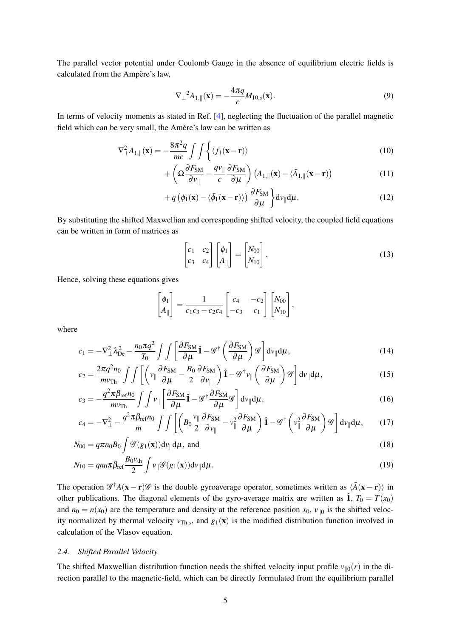The parallel vector potential under Coulomb Gauge in the absence of equilibrium electric fields is calculated from the Ampère's law,

$$
\nabla_{\perp}^{2} A_{1,\parallel}(\mathbf{x}) = -\frac{4\pi q}{c} M_{10,s}(\mathbf{x}).
$$
\n(9)

In terms of velocity moments as stated in Ref. [\[4\]](#page-16-9), neglecting the fluctuation of the parallel magnetic field which can be very small, the Amère's law can be written as

$$
\nabla_{\perp}^{2} A_{1,\parallel}(\mathbf{x}) = -\frac{8\pi^{2}q}{mc} \int \int \left\{ \langle f_{1}(\mathbf{x} - \mathbf{r}) \rangle \right\} \tag{10}
$$

$$
+\left(\Omega \frac{\partial F_{\rm SM}}{\partial v_{\parallel}} - \frac{q v_{\parallel}}{c} \frac{\partial F_{\rm SM}}{\partial \mu}\right) \left(A_{1,\parallel}(\mathbf{x}) - \langle \bar{A}_{1,\parallel}(\mathbf{x}-\mathbf{r})\right) \tag{11}
$$

$$
+q\left(\phi_1(\mathbf{x})-\langle\bar{\phi}_1(\mathbf{x}-\mathbf{r})\rangle\right)\frac{\partial F_{\text{SM}}}{\partial\mu}\bigg\}d\nu_{\parallel}d\mu.\tag{12}
$$

By substituting the shifted Maxwellian and corresponding shifted velocity, the coupled field equations can be written in form of matrices as

$$
\begin{bmatrix} c_1 & c_2 \ c_3 & c_4 \end{bmatrix} \begin{bmatrix} \phi_1 \\ A_{\parallel} \end{bmatrix} = \begin{bmatrix} N_{00} \\ N_{10} \end{bmatrix}.
$$
 (13)

Hence, solving these equations gives

$$
\begin{bmatrix} \phi_1 \\ A_{\parallel} \end{bmatrix} = \frac{1}{c_1c_3 - c_2c_4} \begin{bmatrix} c_4 & -c_2 \\ -c_3 & c_1 \end{bmatrix} \begin{bmatrix} N_{00} \\ N_{10} \end{bmatrix},
$$

where

$$
c_1 = -\nabla^2_{\perp} \lambda_{\text{De}}^2 - \frac{n_0 \pi q^2}{T_0} \int \int \left[ \frac{\partial F_{\text{SM}}}{\partial \mu} \hat{\mathbf{I}} - \mathscr{G}^\dagger \left( \frac{\partial F_{\text{SM}}}{\partial \mu} \right) \mathscr{G} \right] d\nu_{\parallel} d\mu, \tag{14}
$$

$$
c_2 = \frac{2\pi q^2 n_0}{m v_{\text{Th}}} \int \int \left[ \left( v_{\parallel} \frac{\partial F_{\text{SM}}}{\partial \mu} - \frac{B_0}{2} \frac{\partial F_{\text{SM}}}{\partial v_{\parallel}} \right) \hat{\mathbf{I}} - \mathscr{G}^{\dagger} v_{\parallel} \left( \frac{\partial F_{\text{SM}}}{\partial \mu} \right) \mathscr{G} \right] dv_{\parallel} d\mu, \tag{15}
$$

$$
c_3 = -\frac{q^2 \pi \beta_{\text{ref}} n_0}{m v_{\text{Th}}}\int \int v_{\parallel} \left[ \frac{\partial F_{\text{SM}}}{\partial \mu} \hat{\mathbf{1}} - \mathcal{G}^{\dagger} \frac{\partial F_{\text{SM}}}{\partial \mu} \mathcal{G} \right] dv_{\parallel} d\mu, \tag{16}
$$

$$
c_4 = -\nabla_{\perp}^2 - \frac{q^2 \pi \beta_{\text{ref}} n_0}{m} \int \int \left[ \left( B_0 \frac{v_{\parallel}}{2} \frac{\partial F_{\text{SM}}}{\partial v_{\parallel}} - v_{\parallel}^2 \frac{\partial F_{\text{SM}}}{\partial \mu} \right) \hat{\mathbf{1}} - \mathcal{G}^{\dagger} \left( v_{\parallel}^2 \frac{\partial F_{\text{SM}}}{\partial \mu} \right) \mathcal{G} \right] dv_{\parallel} d\mu, \qquad (17)
$$

$$
N_{00} = q\pi n_0 B_0 \int \mathscr{G}(g_1(\mathbf{x})) \mathrm{d}\nu_{\parallel} \mathrm{d}\mu, \text{ and}
$$
\n(18)

$$
N_{10} = q n_0 \pi \beta_{\text{ref}} \frac{B_0 v_{\text{th}}}{2} \int v_{\parallel} \mathcal{G}(g_1(\mathbf{x})) \, \mathrm{d}v_{\parallel} \, \mathrm{d}\mu. \tag{19}
$$

The operation  $\mathscr{G}^{\dagger}A(x - r)\mathscr{G}$  is the double gyroaverage operator, sometimes written as  $\langle \bar{A}(x - r) \rangle$  in other publications. The diagonal elements of the gyro-average matrix are written as  $\hat{\mathbf{1}}$ ,  $T_0 = T(x_0)$ and  $n_0 = n(x_0)$  are the temperature and density at the reference position  $x_0$ ,  $v_{\parallel 0}$  is the shifted velocity normalized by thermal velocity  $v_{\text{Th},s}$ , and  $g_1(\mathbf{x})$  is the modified distribution function involved in calculation of the Vlasov equation.

## *2.4. Shifted Parallel Velocity*

The shifted Maxwellian distribution function needs the shifted velocity input profile  $v_{\parallel 0}(r)$  in the direction parallel to the magnetic-field, which can be directly formulated from the equilibrium parallel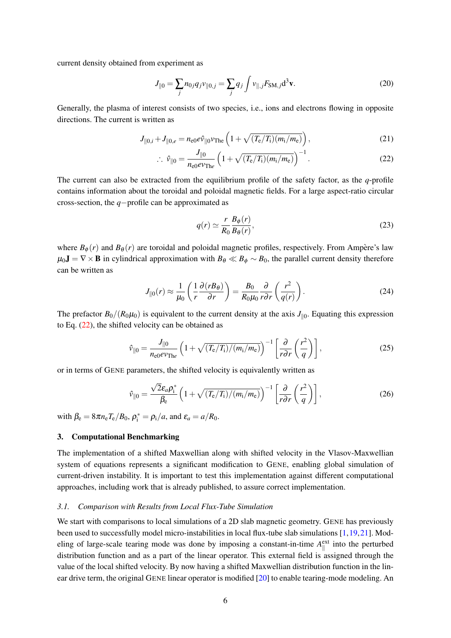current density obtained from experiment as

$$
J_{\parallel 0} = \sum_{j} n_{0j} q_j v_{\parallel 0,j} = \sum_{j} q_j \int v_{\parallel,j} F_{\text{SM},j} d^3 \mathbf{v}.
$$
 (20)

Generally, the plasma of interest consists of two species, i.e., ions and electrons flowing in opposite directions. The current is written as

$$
J_{\|0,i} + J_{\|0,e} = n_{e0} e \hat{\nu}_{\|0} \nu_{\text{The}} \left( 1 + \sqrt{(T_e/T_i)(m_i/m_e)} \right), \qquad (21)
$$

$$
\therefore \hat{v}_{\parallel 0} = \frac{J_{\parallel 0}}{n_{\rm e0} e v_{\rm The}} \left( 1 + \sqrt{(T_{\rm e}/T_{\rm i})(m_{\rm i}/m_{\rm e})} \right)^{-1} . \tag{22}
$$

The current can also be extracted from the equilibrium profile of the safety factor, as the *q*-profile contains information about the toroidal and poloidal magnetic fields. For a large aspect-ratio circular cross-section, the *q*−profile can be approximated as

<span id="page-6-1"></span><span id="page-6-0"></span>
$$
q(r) \simeq \frac{r}{R_0} \frac{B_{\phi}(r)}{B_{\theta}(r)},\tag{23}
$$

where  $B_{\phi}(r)$  and  $B_{\theta}(r)$  are toroidal and poloidal magnetic profiles, respectively. From Ampère's law  $\mu_0 \mathbf{J} = \nabla \times \mathbf{B}$  in cylindrical approximation with  $B_\theta \ll B_\phi \sim B_0$ , the parallel current density therefore can be written as

$$
J_{\parallel 0}(r) \approx \frac{1}{\mu_0} \left( \frac{1}{r} \frac{\partial (r B_\theta)}{\partial r} \right) = \frac{B_0}{R_0 \mu_0} \frac{\partial}{r \partial r} \left( \frac{r^2}{q(r)} \right). \tag{24}
$$

The prefactor  $B_0/(R_0\mu_0)$  is equivalent to the current density at the axis  $J_{\parallel 0}$ . Equating this expression to Eq. [\(22\)](#page-6-0), the shifted velocity can be obtained as

$$
\hat{v}_{\parallel 0} = \frac{J_{\parallel 0}}{n_{\text{e0}} \epsilon v_{\text{The}}} \left( 1 + \sqrt{(T_{\text{e}}/T_{\text{i}})/(m_{\text{i}}/m_{\text{e}})} \right)^{-1} \left[ \frac{\partial}{r \partial r} \left( \frac{r^2}{q} \right) \right],\tag{25}
$$

or in terms of GENE parameters, the shifted velocity is equivalently written as

$$
\hat{v}_{\parallel 0} = \frac{\sqrt{2}\varepsilon_a \rho_i^*}{\beta_e} \left( 1 + \sqrt{(T_e/T_i)/(m_i/m_e)} \right)^{-1} \left[ \frac{\partial}{r \partial r} \left( \frac{r^2}{q} \right) \right],\tag{26}
$$

with  $\beta_e = 8\pi n_e T_e/B_0$ ,  $\rho_i^* = \rho_i/a$ , and  $\varepsilon_a = a/R_0$ .

## 3. Computational Benchmarking

The implementation of a shifted Maxwellian along with shifted velocity in the Vlasov-Maxwellian system of equations represents a significant modification to GENE, enabling global simulation of current-driven instability. It is important to test this implementation against different computational approaches, including work that is already published, to assure correct implementation.

## *3.1. Comparison with Results from Local Flux-Tube Simulation*

We start with comparisons to local simulations of a 2D slab magnetic geometry. GENE has previously been used to successfully model micro-instabilities in local flux-tube slab simulations [\[1,](#page-16-6)[19,](#page-16-10)[21\]](#page-16-5). Modeling of large-scale tearing mode was done by imposing a constant-in-time  $A_{\parallel}^{\text{ext}}$  into the perturbed distribution function and as a part of the linear operator. This external field is assigned through the value of the local shifted velocity. By now having a shifted Maxwellian distribution function in the linear drive term, the original GENE linear operator is modified [\[20\]](#page-16-11) to enable tearing-mode modeling. An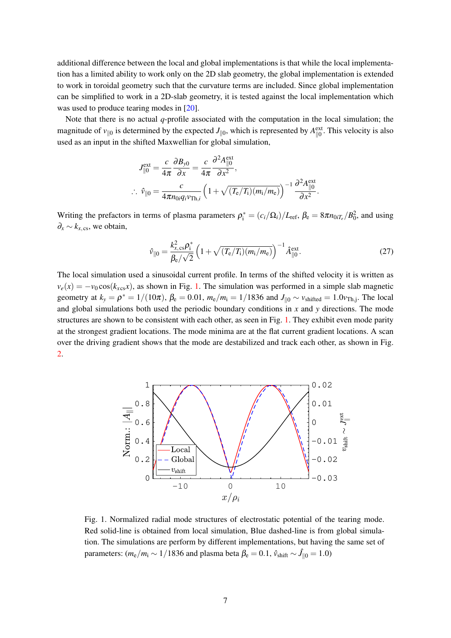additional difference between the local and global implementations is that while the local implementation has a limited ability to work only on the 2D slab geometry, the global implementation is extended to work in toroidal geometry such that the curvature terms are included. Since global implementation can be simplified to work in a 2D-slab geometry, it is tested against the local implementation which was used to produce tearing modes in  $[20]$ .

Note that there is no actual *q*-profile associated with the computation in the local simulation; the magnitude of  $v_{\parallel 0}$  is determined by the expected *J*<sub>||0</sub>, which is represented by  $A_{\parallel 0}^{\text{ext}}$ . This velocity is also used as an input in the shifted Maxwellian for global simulation,

$$
J_{\parallel 0}^{\text{ext}} = \frac{c}{4\pi} \frac{\partial B_{y0}}{\partial x} = \frac{c}{4\pi} \frac{\partial^2 A_{\parallel 0}^{\text{ext}}}{\partial x^2},
$$
  

$$
\therefore \hat{v}_{\parallel 0} = \frac{c}{4\pi n_{0i} q_i v_{\text{Th},i}} \left(1 + \sqrt{(T_{\text{e}}/T_{\text{i}})(m_{\text{i}}/m_{\text{e}})}\right)^{-1} \frac{\partial^2 A_{\parallel 0}^{\text{ext}}}{\partial x^2}.
$$

Writing the prefactors in terms of plasma parameters  $\rho_i^* = (c_i/\Omega_i)/L_{\text{ref}}, \beta_e = 8\pi n_{0iT_e}/B_0^2$ , and using  $\partial_x \sim k_{x,\text{cs}}$ , we obtain,

$$
\hat{\nu}_{\parallel 0} = \frac{k_{x,\text{cs}}^2 \rho_i^*}{\beta_e / \sqrt{2}} \left( 1 + \sqrt{(T_e / T_i)(m_i / m_e)} \right)^{-1} \hat{A}_{\parallel 0}^{\text{ext}}.
$$
\n(27)

The local simulation used a sinusoidal current profile. In terms of the shifted velocity it is written as  $v_e(x) = -v_0 \cos(k_{x \cos} x)$ , as shown in Fig. [1.](#page-7-0) The simulation was performed in a simple slab magnetic geometry at  $k_y = \rho^* = 1/(10\pi)$ ,  $\beta_e = 0.01$ ,  $m_e/m_i = 1/1836$  and  $J_{\parallel 0} \sim v_{\text{shifted}} = 1.0v_{\text{Th,j}}$ . The local and global simulations both used the periodic boundary conditions in *x* and *y* directions. The mode structures are shown to be consistent with each other, as seen in Fig. [1.](#page-7-0) They exhibit even mode parity at the strongest gradient locations. The mode minima are at the flat current gradient locations. A scan over the driving gradient shows that the mode are destabilized and track each other, as shown in Fig. [2.](#page-8-0)



<span id="page-7-0"></span>Fig. 1. Normalized radial mode structures of electrostatic potential of the tearing mode. Red solid-line is obtained from local simulation, Blue dashed-line is from global simulation. The simulations are perform by different implementations, but having the same set of parameters: ( $m_e/m_i \sim 1/1836$  and plasma beta  $\beta_e = 0.1$ ,  $\hat{v}_{\text{shift}} \sim \hat{J}_{\parallel 0} = 1.0$ )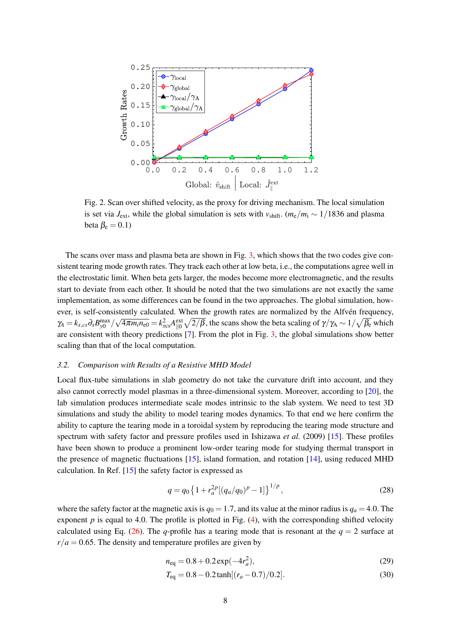

<span id="page-8-0"></span>Fig. 2. Scan over shifted velocity, as the proxy for driving mechanism. The local simulation is set via *J*<sub>ext</sub>, while the global simulation is sets with  $v_{\text{shift}}$ . ( $m_e/m_i \sim 1/1836$  and plasma beta  $\beta_e = 0.1$ )

The scans over mass and plasma beta are shown in Fig. [3,](#page-9-0) which shows that the two codes give consistent tearing mode growth rates. They track each other at low beta, i.e., the computations agree well in the electrostatic limit. When beta gets larger, the modes become more electromagnetic, and the results start to deviate from each other. It should be noted that the two simulations are not exactly the same implementation, as some differences can be found in the two approaches. The global simulation, however, is self-consistently calculated. When the growth rates are normalized by the Alfvén frequency,  $\gamma_A = k_{x,cs} \partial_x B_{y0}^{\text{max}}/$ √  $4\pi m_i n_{e0} = k_{xcs}^2 A_{\parallel 0}^{\text{ext}} \sqrt{2/\beta}$ , the scans show the beta scaling of  $\gamma/\gamma_{\text{A}} \sim 1/\sqrt{\beta_{\text{e}}}$  which are consistent with theory predictions [\[7\]](#page-16-12). From the plot in Fig. [3,](#page-9-0) the global simulations show better scaling than that of the local computation.

## *3.2. Comparison with Results of a Resistive MHD Model*

Local flux-tube simulations in slab geometry do not take the curvature drift into account, and they also cannot correctly model plasmas in a three-dimensional system. Moreover, according to [\[20\]](#page-16-11), the lab simulation produces intermediate scale modes intrinsic to the slab system. We need to test 3D simulations and study the ability to model tearing modes dynamics. To that end we here confirm the ability to capture the tearing mode in a toroidal system by reproducing the tearing mode structure and spectrum with safety factor and pressure profiles used in Ishizawa *et al.* (2009) [\[15\]](#page-16-13). These profiles have been shown to produce a prominent low-order tearing mode for studying thermal transport in the presence of magnetic fluctuations [\[15\]](#page-16-13), island formation, and rotation [\[14\]](#page-16-14), using reduced MHD calculation. In Ref.  $[15]$  the safety factor is expressed as

$$
q = q_0 \left\{ 1 + r_a^{2p} [(q_a/q_0)^p - 1] \right\}^{1/p},\tag{28}
$$

where the safety factor at the magnetic axis is  $q_0 = 1.7$ , and its value at the minor radius is  $q_a = 4.0$ . The exponent  $p$  is equal to 4.0. The profile is plotted in Fig.  $(4)$ , with the corresponding shifted velocity calculated using Eq. [\(26\)](#page-6-1). The *q*-profile has a tearing mode that is resonant at the  $q = 2$  surface at  $r/a = 0.65$ . The density and temperature profiles are given by

$$
n_{\text{eq}} = 0.8 + 0.2 \exp(-4r_a^2),\tag{29}
$$

$$
T_{\text{eq}} = 0.8 - 0.2 \tanh[(r_a - 0.7)/0.2]. \tag{30}
$$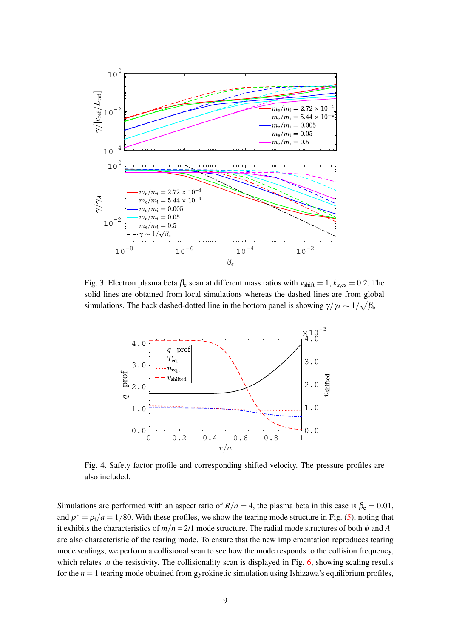

<span id="page-9-0"></span>Fig. 3. Electron plasma beta  $\beta_e$  scan at different mass ratios with  $v_{\text{shift}} = 1, k_{x,\text{cs}} = 0.2$ . The solid lines are obtained from local simulations whereas the dashed lines are from global simulations. The back dashed-dotted line in the bottom panel is showing  $\gamma/\gamma_A \sim 1/\sqrt{\beta_e}$ 



<span id="page-9-1"></span>Fig. 4. Safety factor profile and corresponding shifted velocity. The pressure profiles are also included.

Simulations are performed with an aspect ratio of  $R/a = 4$ , the plasma beta in this case is  $\beta_e = 0.01$ , and  $\rho^* = \rho_i/a = 1/80$ . With these profiles, we show the tearing mode structure in Fig. [\(5\)](#page-10-0), noting that it exhibits the characteristics of  $m/n = 2/1$  mode structure. The radial mode structures of both  $\phi$  and  $A_{\parallel}$ are also characteristic of the tearing mode. To ensure that the new implementation reproduces tearing mode scalings, we perform a collisional scan to see how the mode responds to the collision frequency, which relates to the resistivity. The collisionality scan is displayed in Fig. [6,](#page-10-1) showing scaling results for the  $n = 1$  tearing mode obtained from gyrokinetic simulation using Ishizawa's equilibrium profiles,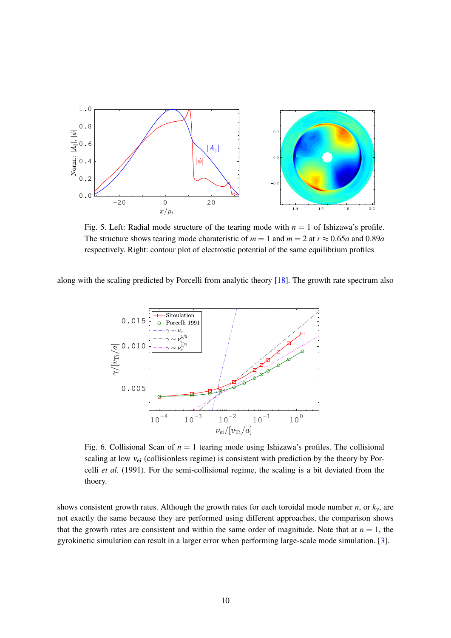

<span id="page-10-0"></span>Fig. 5. Left: Radial mode structure of the tearing mode with  $n = 1$  of Ishizawa's profile. The structure shows tearing mode charateristic of  $m = 1$  and  $m = 2$  at  $r \approx 0.65a$  and 0.89*a* respectively. Right: contour plot of electrostic potential of the same equilibrium profiles

along with the scaling predicted by Porcelli from analytic theory [\[18\]](#page-16-15). The growth rate spectrum also



<span id="page-10-1"></span>Fig. 6. Collisional Scan of  $n = 1$  tearing mode using Ishizawa's profiles. The collisional scaling at low  $v_{ei}$  (collisionless regime) is consistent with prediction by the theory by Porcelli *et al.* (1991). For the semi-collisional regime, the scaling is a bit deviated from the thoery.

shows consistent growth rates. Although the growth rates for each toroidal mode number *n*, or  $k<sub>y</sub>$ , are not exactly the same because they are performed using different approaches, the comparison shows that the growth rates are consistent and within the same order of magnitude. Note that at  $n = 1$ , the gyrokinetic simulation can result in a larger error when performing large-scale mode simulation. [\[3\]](#page-16-16).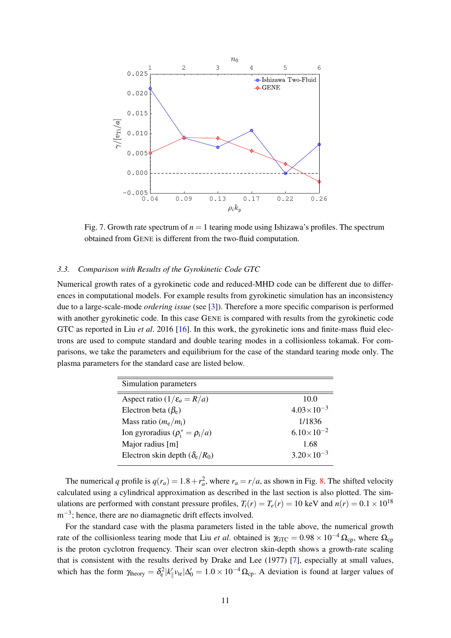

Fig. 7. Growth rate spectrum of  $n = 1$  tearing mode using Ishizawa's profiles. The spectrum obtained from GENE is different from the two-fluid computation.

## *3.3. Comparison with Results of the Gyrokinetic Code GTC*

Numerical growth rates of a gyrokinetic code and reduced-MHD code can be different due to differences in computational models. For example results from gyrokinetic simulation has an inconsistency due to a large-scale-mode *ordering issue* (see [\[3\]](#page-16-16)). Therefore a more specific comparison is performed with another gyrokinetic code. In this case GENE is compared with results from the gyrokinetic code GTC as reported in Liu *et al*. 2016 [\[16\]](#page-16-17). In this work, the gyrokinetic ions and finite-mass fluid electrons are used to compute standard and double tearing modes in a collisionless tokamak. For comparisons, we take the parameters and equilibrium for the case of the standard tearing mode only. The plasma parameters for the standard case are listed below.

| Simulation parameters                    |                       |
|------------------------------------------|-----------------------|
| Aspect ratio $(1/\varepsilon_a = R/a)$   | 10.0                  |
| Electron beta $(\beta_e)$                | $4.03 \times 10^{-3}$ |
| Mass ratio $(m_e/m_i)$                   | 1/1836                |
| Ion gyroradius ( $\rho_i^* = \rho_i/a$ ) | $6.10\times10^{-2}$   |
| Major radius [m]                         | 1.68                  |
| Electron skin depth $(\delta_e/R_0)$     | $3.20\times10^{-3}$   |
|                                          |                       |

The numerical *q* profile is  $q(r_a) = 1.8 + r_a^2$ , where  $r_a = r/a$ , as shown in Fig. [8.](#page-12-0) The shifted velocity calculated using a cylindrical approximation as described in the last section is also plotted. The simulations are performed with constant pressure profiles,  $T_i(r) = T_e(r) = 10 \text{ keV}$  and  $n(r) = 0.1 \times 10^{18}$ m<sup>-3</sup>; hence, there are no diamagnetic drift effects involved.

For the standard case with the plasma parameters listed in the table above, the numerical growth rate of the collisionless tearing mode that Liu *et al.* obtained is  $\gamma_{GTC} = 0.98 \times 10^{-4} \Omega_{CD}$ , where  $\Omega_{CD}$ is the proton cyclotron frequency. Their scan over electron skin-depth shows a growth-rate scaling that is consistent with the results derived by Drake and Lee (1977) [\[7\]](#page-16-12), especially at small values, which has the form  $\gamma_{\text{theory}} = \delta_e^2 |k_{\parallel}' v_{\text{te}}| \Delta_0' = 1.0 \times 10^{-4} \Omega_{\text{cp}}$ . A deviation is found at larger values of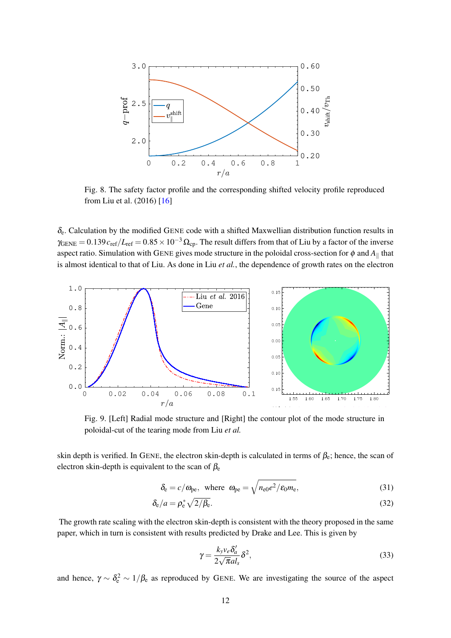

<span id="page-12-0"></span>Fig. 8. The safety factor profile and the corresponding shifted velocity profile reproduced from Liu et al. (2016) [\[16\]](#page-16-17)

 $\delta_e$ . Calculation by the modified GENE code with a shifted Maxwellian distribution function results in  $\gamma_{\text{GENE}} = 0.139 c_{\text{ref}}/L_{\text{ref}} = 0.85 \times 10^{-3} \Omega_{\text{cp}}$ . The result differs from that of Liu by a factor of the inverse aspect ratio. Simulation with GENE gives mode structure in the poloidal cross-section for  $\phi$  and  $A_{\parallel}$  that is almost identical to that of Liu. As done in Liu *et al.*, the dependence of growth rates on the electron



Fig. 9. [Left] Radial mode structure and [Right] the contour plot of the mode structure in poloidal-cut of the tearing mode from Liu *et al.*

skin depth is verified. In GENE, the electron skin-depth is calculated in terms of  $\beta_e$ ; hence, the scan of electron skin-depth is equivalent to the scan of  $\beta_e$ 

$$
\delta_{\rm e} = c/\omega_{\rm pe}, \text{ where } \omega_{\rm pe} = \sqrt{n_{\rm e0}e^2/\varepsilon_{\rm 0}m_{\rm e}},\tag{31}
$$

$$
\delta_{\rm e}/a = \rho_{\rm e}^* \sqrt{2/\beta_{\rm e}}.\tag{32}
$$

The growth rate scaling with the electron skin-depth is consistent with the theory proposed in the same paper, which in turn is consistent with results predicted by Drake and Lee. This is given by

$$
\gamma = \frac{k_y v_e \delta_a'}{2\sqrt{\pi} a l_s} \delta^2,\tag{33}
$$

and hence,  $\gamma \sim \delta_e^2 \sim 1/\beta_e$  as reproduced by GENE. We are investigating the source of the aspect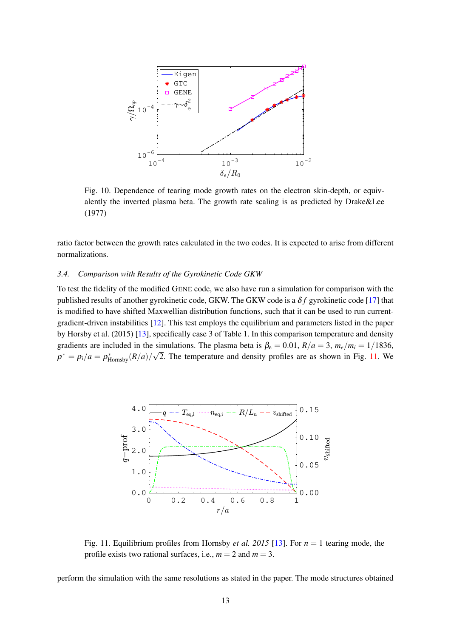

Fig. 10. Dependence of tearing mode growth rates on the electron skin-depth, or equivalently the inverted plasma beta. The growth rate scaling is as predicted by Drake&Lee (1977)

ratio factor between the growth rates calculated in the two codes. It is expected to arise from different normalizations.

## *3.4. Comparison with Results of the Gyrokinetic Code GKW*

To test the fidelity of the modified GENE code, we also have run a simulation for comparison with the published results of another gyrokinetic code, GKW. The GKW code is a δ *f* gyrokinetic code [\[17\]](#page-16-18) that is modified to have shifted Maxwellian distribution functions, such that it can be used to run currentgradient-driven instabilities [\[12\]](#page-16-19). This test employs the equilibrium and parameters listed in the paper by Horsby et al. (2015) [\[13\]](#page-16-20), specifically case 3 of Table 1. In this comparison temperature and density gradients are included in the simulations. The plasma beta is  $\beta_e = 0.01$ ,  $R/a = 3$ ,  $m_e/m_i = 1/1836$ ,  $\rho^* = \rho_i/a = \rho_{\text{Hornsby}}^*(R/a)/\sqrt{2}$ . The temperature and density profiles are as shown in Fig. [11.](#page-13-0) We



<span id="page-13-0"></span>Fig. 11. Equilibrium profiles from Hornsby *et al. 2015* [\[13\]](#page-16-20). For *n* = 1 tearing mode, the profile exists two rational surfaces, i.e.,  $m = 2$  and  $m = 3$ .

perform the simulation with the same resolutions as stated in the paper. The mode structures obtained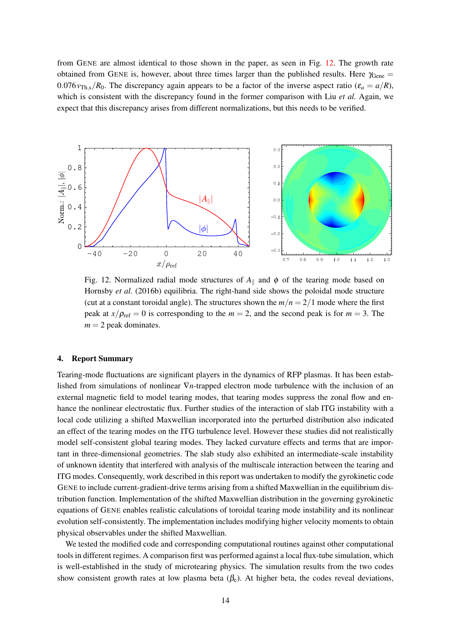from GENE are almost identical to those shown in the paper, as seen in Fig. [12.](#page-14-0) The growth rate obtained from GENE is, however, about three times larger than the published results. Here  $\gamma_{\text{Gene}} =$ 0.076 $v_{\text{Th,s}}/R_0$ . The discrepancy again appears to be a factor of the inverse aspect ratio ( $\varepsilon_a = a/R$ ), which is consistent with the discrepancy found in the former comparison with Liu *et al.* Again, we expect that this discrepancy arises from different normalizations, but this needs to be verified.



<span id="page-14-0"></span>Fig. 12. Normalized radial mode structures of  $A_{\parallel}$  and  $\phi$  of the tearing mode based on Hornsby *et al.* (2016b) equilibria. The right-hand side shows the poloidal mode structure (cut at a constant toroidal angle). The structures shown the  $m/n = 2/1$  mode where the first peak at  $x/\rho_{\text{ref}} = 0$  is corresponding to the  $m = 2$ , and the second peak is for  $m = 3$ . The  $m = 2$  peak dominates.

#### 4. Report Summary

Tearing-mode fluctuations are significant players in the dynamics of RFP plasmas. It has been established from simulations of nonlinear ∇*n*-trapped electron mode turbulence with the inclusion of an external magnetic field to model tearing modes, that tearing modes suppress the zonal flow and enhance the nonlinear electrostatic flux. Further studies of the interaction of slab ITG instability with a local code utilizing a shifted Maxwellian incorporated into the perturbed distribution also indicated an effect of the tearing modes on the ITG turbulence level. However these studies did not realistically model self-consistent global tearing modes. They lacked curvature effects and terms that are important in three-dimensional geometries. The slab study also exhibited an intermediate-scale instability of unknown identity that interfered with analysis of the multiscale interaction between the tearing and ITG modes. Consequently, work described in this report was undertaken to modify the gyrokinetic code GENE to include current-gradient-drive terms arising from a shifted Maxwellian in the equilibrium distribution function. Implementation of the shifted Maxwellian distribution in the governing gyrokinetic equations of GENE enables realistic calculations of toroidal tearing mode instability and its nonlinear evolution self-consistently. The implementation includes modifying higher velocity moments to obtain physical observables under the shifted Maxwellian.

We tested the modified code and corresponding computational routines against other computational tools in different regimes. A comparison first was performed against a local flux-tube simulation, which is well-established in the study of microtearing physics. The simulation results from the two codes show consistent growth rates at low plasma beta  $(\beta_e)$ . At higher beta, the codes reveal deviations,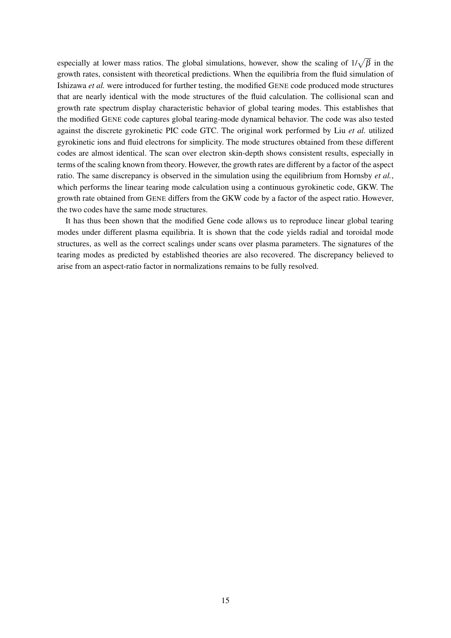especially at lower mass ratios. The global simulations, however, show the scaling of  $1/\sqrt{\beta}$  in the growth rates, consistent with theoretical predictions. When the equilibria from the fluid simulation of Ishizawa *et al.* were introduced for further testing, the modified GENE code produced mode structures that are nearly identical with the mode structures of the fluid calculation. The collisional scan and growth rate spectrum display characteristic behavior of global tearing modes. This establishes that the modified GENE code captures global tearing-mode dynamical behavior. The code was also tested against the discrete gyrokinetic PIC code GTC. The original work performed by Liu *et al.* utilized gyrokinetic ions and fluid electrons for simplicity. The mode structures obtained from these different codes are almost identical. The scan over electron skin-depth shows consistent results, especially in terms of the scaling known from theory. However, the growth rates are different by a factor of the aspect ratio. The same discrepancy is observed in the simulation using the equilibrium from Hornsby *et al.*, which performs the linear tearing mode calculation using a continuous gyrokinetic code, GKW. The growth rate obtained from GENE differs from the GKW code by a factor of the aspect ratio. However, the two codes have the same mode structures.

It has thus been shown that the modified Gene code allows us to reproduce linear global tearing modes under different plasma equilibria. It is shown that the code yields radial and toroidal mode structures, as well as the correct scalings under scans over plasma parameters. The signatures of the tearing modes as predicted by established theories are also recovered. The discrepancy believed to arise from an aspect-ratio factor in normalizations remains to be fully resolved.